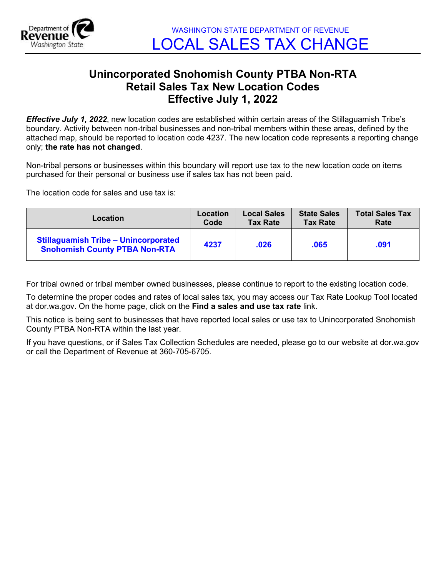

## **Unincorporated Snohomish County PTBA Non-RTA Retail Sales Tax New Location Codes Effective July 1, 2022**

*Effective July 1, 2022*, new location codes are established within certain areas of the Stillaguamish Tribe's boundary. Activity between non-tribal businesses and non-tribal members within these areas, defined by the attached map, should be reported to location code 4237. The new location code represents a reporting change only; **the rate has not changed**.

Non-tribal persons or businesses within this boundary will report use tax to the new location code on items purchased for their personal or business use if sales tax has not been paid.

The location code for sales and use tax is:

| Location                                                                            | Location | <b>Local Sales</b> | <b>State Sales</b> | <b>Total Sales Tax</b> |
|-------------------------------------------------------------------------------------|----------|--------------------|--------------------|------------------------|
|                                                                                     | Code     | <b>Tax Rate</b>    | <b>Tax Rate</b>    | Rate                   |
| <b>Stillaguamish Tribe - Unincorporated</b><br><b>Snohomish County PTBA Non-RTA</b> | 4237     | .026               | .065               | .091                   |

For tribal owned or tribal member owned businesses, please continue to report to the existing location code.

To determine the proper codes and rates of local sales tax, you may access our Tax Rate Lookup Tool located at dor.wa.gov. On the home page, click on the **Find a sales and use tax rate** link.

This notice is being sent to businesses that have reported local sales or use tax to Unincorporated Snohomish County PTBA Non-RTA within the last year.

If you have questions, or if Sales Tax Collection Schedules are needed, please go to our website at dor.wa.gov or call the Department of Revenue at 360-705-6705.